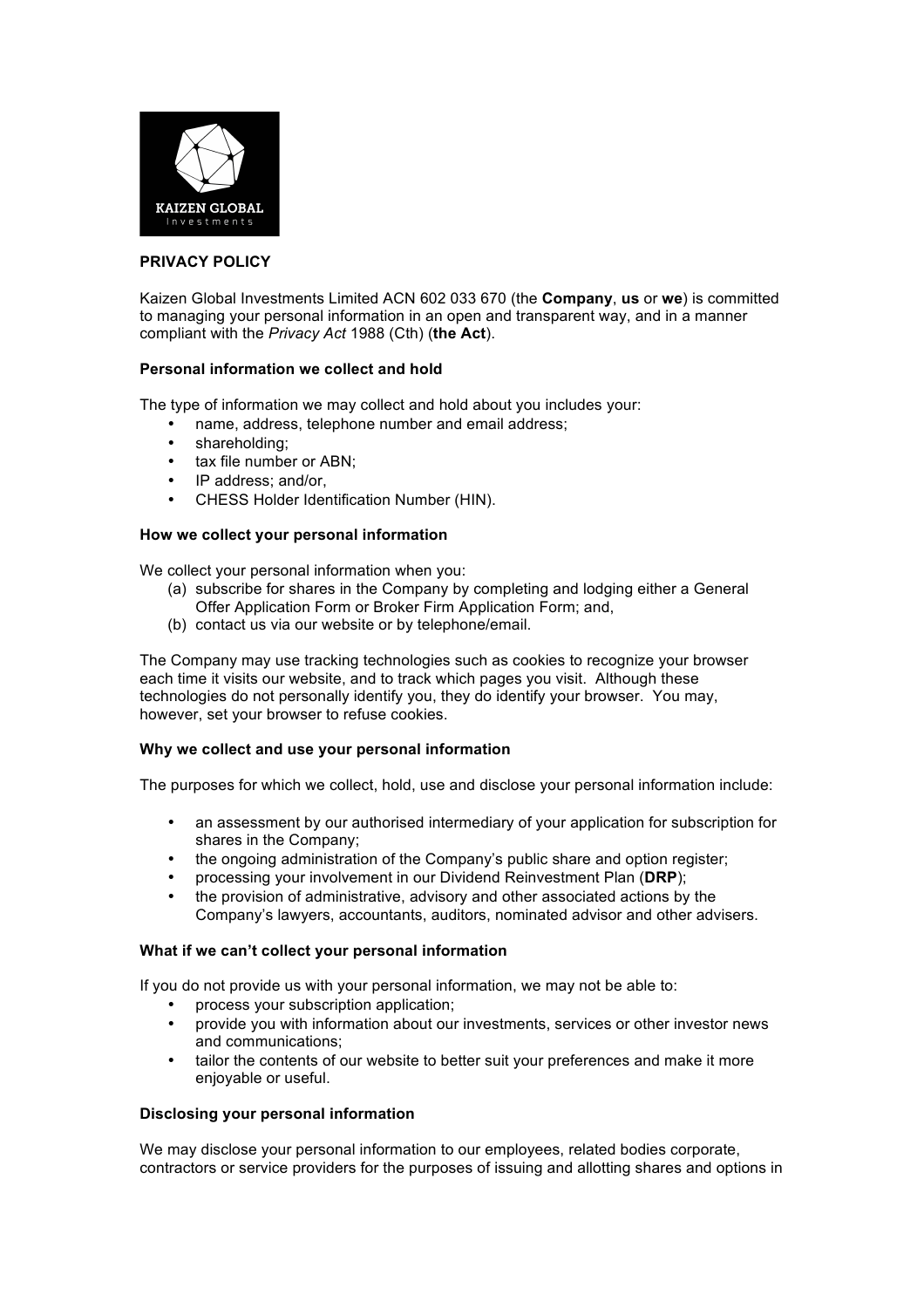

# **PRIVACY POLICY**

Kaizen Global Investments Limited ACN 602 033 670 (the **Company**, **us** or **we**) is committed to managing your personal information in an open and transparent way, and in a manner compliant with the *Privacy Act* 1988 (Cth) (**the Act**).

## **Personal information we collect and hold**

The type of information we may collect and hold about you includes your:

- name, address, telephone number and email address;
- shareholding;
- tax file number or ABN;
- IP address; and/or,
- CHESS Holder Identification Number (HIN).

## **How we collect your personal information**

We collect your personal information when you:

- (a) subscribe for shares in the Company by completing and lodging either a General Offer Application Form or Broker Firm Application Form; and,
- (b) contact us via our website or by telephone/email.

The Company may use tracking technologies such as cookies to recognize your browser each time it visits our website, and to track which pages you visit. Although these technologies do not personally identify you, they do identify your browser. You may, however, set your browser to refuse cookies.

#### **Why we collect and use your personal information**

The purposes for which we collect, hold, use and disclose your personal information include:

- an assessment by our authorised intermediary of your application for subscription for shares in the Company;
- the ongoing administration of the Company's public share and option register;
- processing your involvement in our Dividend Reinvestment Plan (**DRP**);
- the provision of administrative, advisory and other associated actions by the Company's lawyers, accountants, auditors, nominated advisor and other advisers.

#### **What if we can't collect your personal information**

If you do not provide us with your personal information, we may not be able to:

- process your subscription application;
- provide you with information about our investments, services or other investor news and communications;
- tailor the contents of our website to better suit your preferences and make it more enjoyable or useful.

#### **Disclosing your personal information**

We may disclose your personal information to our employees, related bodies corporate, contractors or service providers for the purposes of issuing and allotting shares and options in